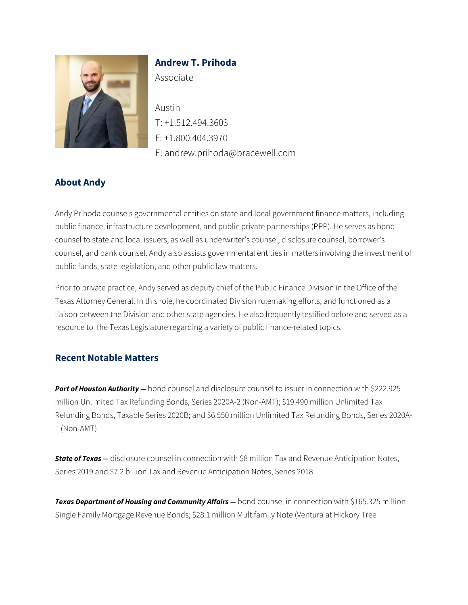

# **Andrew T. Prihoda**

Associate

Austin T: +1.512.494.3603 F: +1.800.404.3970 E: andrew.prihoda@bracewell.com

### **About Andy**

Andy Prihoda counsels governmental entities on state and local government finance matters, including public finance, infrastructure development, and public private partnerships (PPP). He serves as bond counsel to state and local issuers, as well as underwriter's counsel, disclosure counsel, borrower's counsel, and bank counsel. Andy also assists governmental entities in matters involving the investment of public funds, state legislation, and other public law matters.

Prior to private practice, Andy served as deputy chief of the Public Finance Division in the Office of the Texas Attorney General. In this role, he coordinated Division rulemaking efforts, and functioned as a liaison between the Division and other state agencies. He also frequently testified before and served as a resource to the Texas Legislature regarding a variety of public finance-related topics.

### **Recent Notable Matters**

*Port of Houston Authority —* bond counsel and disclosure counsel to issuer in connection with \$222.925 million Unlimited Tax Refunding Bonds, Series 2020A-2 (Non-AMT); \$19.490 million Unlimited Tax Refunding Bonds, Taxable Series 2020B; and \$6.550 million Unlimited Tax Refunding Bonds, Series 2020A-1 (Non-AMT)

*State of Texas –* disclosure counsel in connection with \$8 million Tax and Revenue Anticipation Notes, Series 2019 and \$7.2 billion Tax and Revenue Anticipation Notes, Series 2018

*Texas Department of Housing and Community Affairs —* bond counsel in connection with \$165.325 million Single Family Mortgage Revenue Bonds; \$28.1 million Multifamily Note (Ventura at Hickory Tree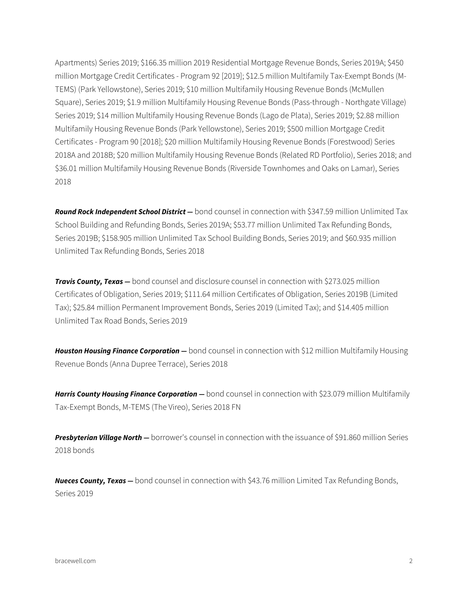Apartments) Series 2019; \$166.35 million 2019 Residential Mortgage Revenue Bonds, Series 2019A; \$450 million Mortgage Credit Certificates - Program 92 [2019]; \$12.5 million Multifamily Tax-Exempt Bonds (M-TEMS) (Park Yellowstone), Series 2019; \$10 million Multifamily Housing Revenue Bonds (McMullen Square), Series 2019; \$1.9 million Multifamily Housing Revenue Bonds (Pass-through - Northgate Village) Series 2019; \$14 million Multifamily Housing Revenue Bonds (Lago de Plata), Series 2019; \$2.88 million Multifamily Housing Revenue Bonds (Park Yellowstone), Series 2019; \$500 million Mortgage Credit Certificates - Program 90 [2018]; \$20 million Multifamily Housing Revenue Bonds (Forestwood) Series 2018A and 2018B; \$20 million Multifamily Housing Revenue Bonds (Related RD Portfolio), Series 2018; and \$36.01 million Multifamily Housing Revenue Bonds (Riverside Townhomes and Oaks on Lamar), Series 2018

*Round Rock Independent School District —* bond counsel in connection with \$347.59 million Unlimited Tax School Building and Refunding Bonds, Series 2019A; \$53.77 million Unlimited Tax Refunding Bonds, Series 2019B; \$158.905 million Unlimited Tax School Building Bonds, Series 2019; and \$60.935 million Unlimited Tax Refunding Bonds, Series 2018

**Travis County, Texas** – bond counsel and disclosure counsel in connection with \$273.025 million Certificates of Obligation, Series 2019; \$111.64 million Certificates of Obligation, Series 2019B (Limited Tax); \$25.84 million Permanent Improvement Bonds, Series 2019 (Limited Tax); and \$14.405 million Unlimited Tax Road Bonds, Series 2019

*Houston Housing Finance Corporation —* bond counsel in connection with \$12 million Multifamily Housing Revenue Bonds (Anna Dupree Terrace), Series 2018

*Harris County Housing Finance Corporation —* bond counsel in connection with \$23.079 million Multifamily Tax-Exempt Bonds, M-TEMS (The Vireo), Series 2018 FN

*Presbyterian Village North —* borrower's counsel in connection with the issuance of \$91.860 million Series 2018 bonds

*Nueces County, Texas —* bond counsel in connection with \$43.76 million Limited Tax Refunding Bonds, Series 2019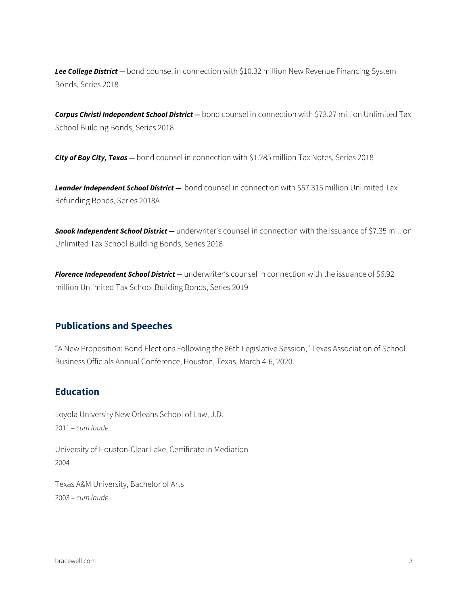Lee College District - bond counsel in connection with \$10.32 million New Revenue Financing System Bonds, Series 2018

*Corpus Christi Independent School District —* bond counsel in connection with \$73.27 million Unlimited Tax School Building Bonds, Series 2018

*City of Bay City, Texas —* bond counsel in connection with \$1.285 million Tax Notes, Series 2018

*Leander Independent School District —* bond counsel in connection with \$57.315 million Unlimited Tax Refunding Bonds, Series 2018A

*Snook Independent School District —* underwriter's counsel in connection with the issuance of \$7.35 million Unlimited Tax School Building Bonds, Series 2018

*Florence Independent School District —* underwriter's counsel in connection with the issuance of \$6.92 million Unlimited Tax School Building Bonds, Series 2019

#### **Publications and Speeches**

"A New Proposition: Bond Elections Following the 86th Legislative Session," Texas Association of School Business Officials Annual Conference, Houston, Texas, March 4-6, 2020.

### **Education**

Loyola University New Orleans School of Law, J.D. 2011 – *cum laude* University of Houston-Clear Lake, Certificate in Mediation 2004

Texas A&M University, Bachelor of Arts 2003 – *cum laude*